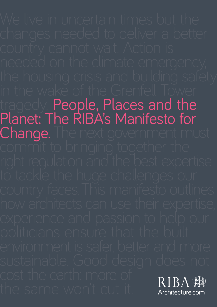in the wake of the Grenfell Tower<br>tragedy. People, Places and the Planet: The RIBA's Manifesto for **Change.** The next government must<br>commit to bringing together the **RIBA WW** Architecture.com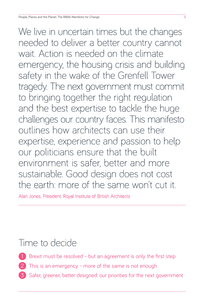We live in uncertain times but the changes needed to deliver a better country cannot wait. Action is needed on the climate emergency, the housing crisis and building safety in the wake of the Grenfell Tower tragedy. The next government must commit to bringing together the right regulation and the best expertise to tackle the huge challenges our country faces. This manifesto outlines how architects can use their expertise, experience and passion to help our politicians ensure that the built environment is safer, better and more sustainable. Good design does not cost the earth: more of the same won't cut it.

Alan Jones, President, Royal Institute of British Architects

## Time to decide

- Brexit must be resolved but an agreement is only the first step
- This is an emergency more of the same is not enough
- 3 Safer, greener, better designed: our priorities for the next government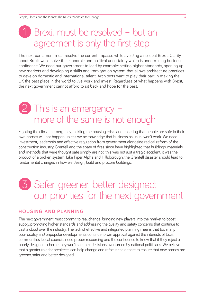# Brexit must be resolved - but an agreement is only the first step

The next parliament must resolve the current impasse while avoiding a no-deal Brexit. Clarity about Brexit won't solve the economic and political uncertainty which is undermining business confidence. We need our government to lead by example: setting higher standards, opening up new markets and developing a skills and immigration system that allows architecture practices to develop domestic and international talent. Architects want to play their part in making the UK the best place in the world to live, work and invest. Regardless of what happens with Brexit, the next government cannot afford to sit back and hope for the best.

## This is an emergency more of the same is not enough

Fighting the climate emergency, tackling the housing crisis and ensuring that people are safe in their own homes will not happen unless we acknowledge that business as usual won't work. We need investment, leadership and effective regulation from government alongside radical reform of the construction industry. Grenfell and the spate of fires since have highlighted that buildings, materials and methods that were thought safe simply are not: this was not just a tragic accident, it was the product of a broken system. Like Piper Alpha and Hillsborough, the Grenfell disaster should lead to fundamental changes in how we design, build and procure buildings.

# 3 Safer, greener, better designed: our priorities for the next government

#### **HOUSING AND PLANNING**

The next government must commit to real change: bringing new players into the market to boost supply, promoting higher standards and addressing the quality and safety concerns that continue to cast a cloud over the industry. The lack of effective and integrated planning means that too many poor quality and unpopular developments continue to win approval against the interests of local communities. Local councils need proper resourcing and the confidence to know that if they reject a poorly designed scheme they won't see their decisions overturned by national politicians. We believe that a greater role for architects can help change and refocus the debate to ensure that new homes are greener, safer and better designed.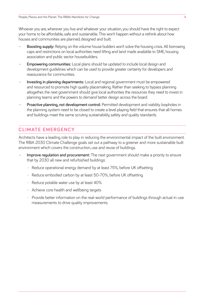Whoever you are, wherever you live and whatever your situation, you should have the right to expect your home to be affordable, safe and sustainable. This won't happen without a rethink about how houses and communities are planned, designed and built.

- **Boosting supply:** Relying on the volume house builders won't solve the housing crisis. All borrowing caps and restrictions on local authorities need lifting and land made available to SME, housing association and public sector housebuilders.
- **Empowering communities:** Local plans should be updated to include local design and development guidelines which can be used to provide greater certainty for developers and reassurance for communities.
- **Investing in planning departments:** Local and regional government must be empowered and resourced to promote high quality placemaking. Rather than seeking to bypass planning altogether, the next government should give local authorities the resources they need to invest in planning teams and the powers to demand better design across the board.
- **Proactive planning, not development control:** Permitted development and viability loopholes in the planning system need to be closed to create a level playing field that ensures that all homes and buildings meet the same scrutiny, sustainability, safety and quality standards.

### **CLIMATE EMERGENCY**

Architects have a leading role to play in reducing the environmental impact of the built environment. The RIBA 2030 Climate Challenge goals set out a pathway to a greener and more sustainable built environment which covers the construction, use and reuse of buildings.

- **Improve regulation and procurement:** The next government should make a priority to ensure that by 2030 all new and refurbished buildings:
	- Reduce operational energy demand by at least 75%, before UK offsetting
	- Reduce embodied carbon by at least 50-70%, before UK offsetting
	- Reduce potable water use by at least 40%
	- Achieve core health and wellbeing targets
	- Provide better information on the real-world performance of buildings through actual in-use measurements to drive quality improvements.